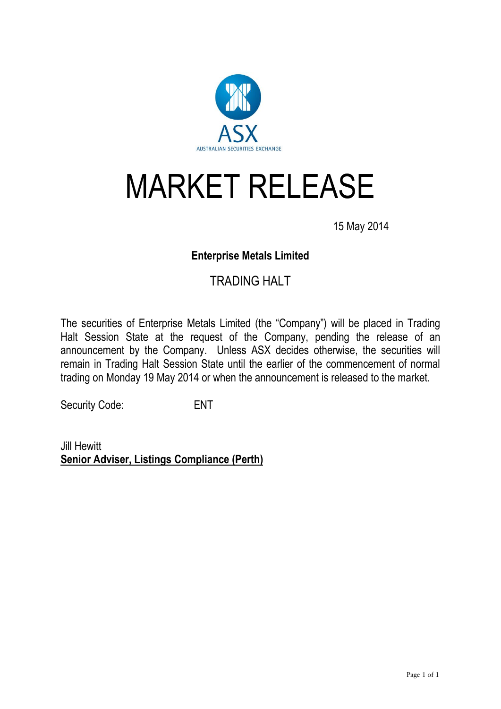

## MARKET RELEASE

15 May 2014

## **Enterprise Metals Limited**

## TRADING HALT

The securities of Enterprise Metals Limited (the "Company") will be placed in Trading Halt Session State at the request of the Company, pending the release of an announcement by the Company. Unless ASX decides otherwise, the securities will remain in Trading Halt Session State until the earlier of the commencement of normal trading on Monday 19 May 2014 or when the announcement is released to the market.

Security Code: ENT

Jill Hewitt **Senior Adviser, Listings Compliance (Perth)**